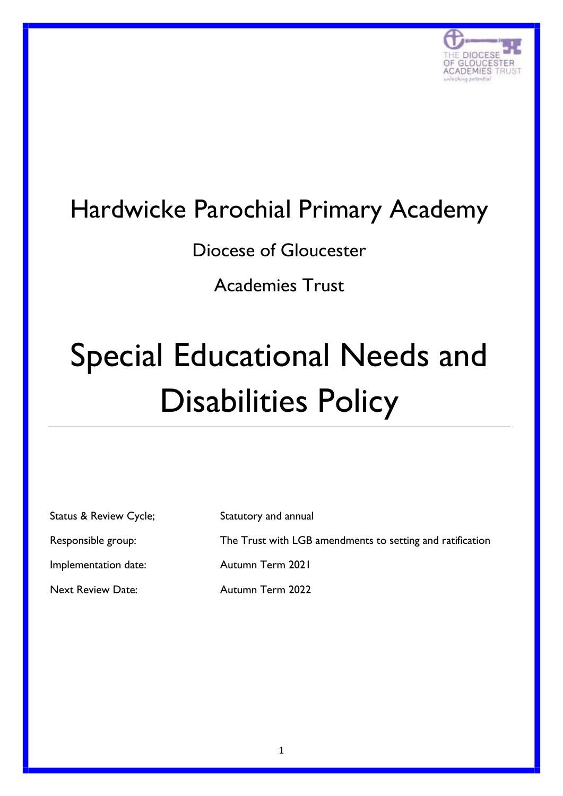

# Hardwicke Parochial Primary Academy

Diocese of Gloucester

Academies Trust

# Special Educational Needs and Disabilities Policy

| <b>Status &amp; Review Cycle;</b> | Statutory and annual                                      |
|-----------------------------------|-----------------------------------------------------------|
| Responsible group:                | The Trust with LGB amendments to setting and ratification |
| Implementation date:              | Autumn Term 2021                                          |
| <b>Next Review Date:</b>          | Autumn Term 2022                                          |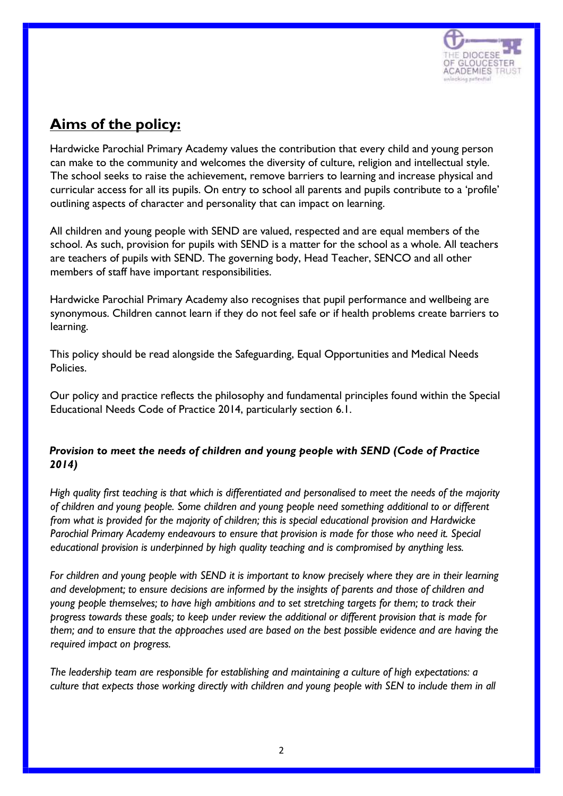

## **Aims of the policy:**

Hardwicke Parochial Primary Academy values the contribution that every child and young person can make to the community and welcomes the diversity of culture, religion and intellectual style. The school seeks to raise the achievement, remove barriers to learning and increase physical and curricular access for all its pupils. On entry to school all parents and pupils contribute to a 'profile' outlining aspects of character and personality that can impact on learning.

All children and young people with SEND are valued, respected and are equal members of the school. As such, provision for pupils with SEND is a matter for the school as a whole. All teachers are teachers of pupils with SEND. The governing body, Head Teacher, SENCO and all other members of staff have important responsibilities.

Hardwicke Parochial Primary Academy also recognises that pupil performance and wellbeing are synonymous. Children cannot learn if they do not feel safe or if health problems create barriers to learning.

This policy should be read alongside the Safeguarding, Equal Opportunities and Medical Needs Policies.

Our policy and practice reflects the philosophy and fundamental principles found within the Special Educational Needs Code of Practice 2014, particularly section 6.1.

#### *Provision to meet the needs of children and young people with SEND (Code of Practice 2014)*

*High quality first teaching is that which is differentiated and personalised to meet the needs of the majority of children and young people. Some children and young people need something additional to or different from what is provided for the majority of children; this is special educational provision and Hardwicke Parochial Primary Academy endeavours to ensure that provision is made for those who need it. Special educational provision is underpinned by high quality teaching and is compromised by anything less.* 

*For children and young people with SEND it is important to know precisely where they are in their learning and development; to ensure decisions are informed by the insights of parents and those of children and young people themselves; to have high ambitions and to set stretching targets for them; to track their progress towards these goals; to keep under review the additional or different provision that is made for them; and to ensure that the approaches used are based on the best possible evidence and are having the required impact on progress.* 

*The leadership team are responsible for establishing and maintaining a culture of high expectations: a culture that expects those working directly with children and young people with SEN to include them in all*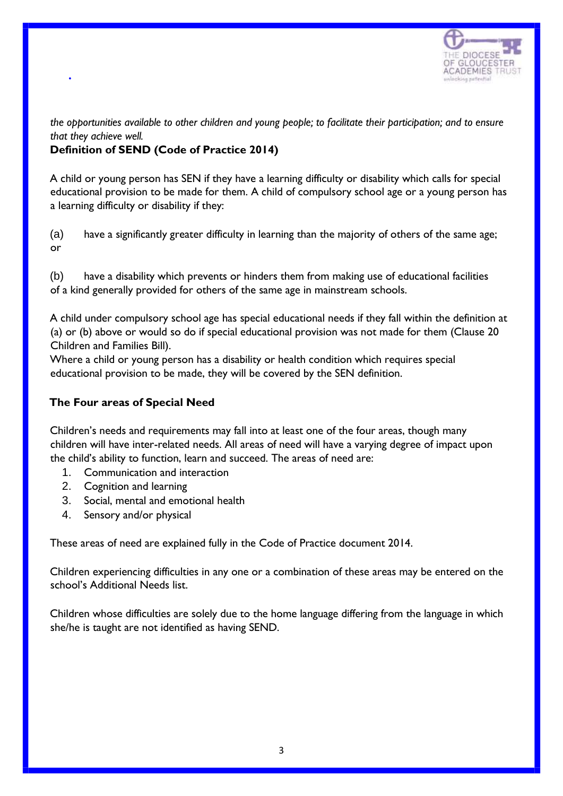

*the opportunities available to other children and young people; to facilitate their participation; and to ensure that they achieve well.* 

#### **Definition of SEND (Code of Practice 2014)**

•

A child or young person has SEN if they have a learning difficulty or disability which calls for special educational provision to be made for them. A child of compulsory school age or a young person has a learning difficulty or disability if they:

(a) have a significantly greater difficulty in learning than the majority of others of the same age; or

(b) have a disability which prevents or hinders them from making use of educational facilities of a kind generally provided for others of the same age in mainstream schools.

A child under compulsory school age has special educational needs if they fall within the definition at (a) or (b) above or would so do if special educational provision was not made for them (Clause 20 Children and Families Bill).

Where a child or young person has a disability or health condition which requires special educational provision to be made, they will be covered by the SEN definition.

#### **The Four areas of Special Need**

Children's needs and requirements may fall into at least one of the four areas, though many children will have inter-related needs. All areas of need will have a varying degree of impact upon the child's ability to function, learn and succeed. The areas of need are:

- 1. Communication and interaction
- 2. Cognition and learning
- 3. Social, mental and emotional health
- 4. Sensory and/or physical

These areas of need are explained fully in the Code of Practice document 2014.

Children experiencing difficulties in any one or a combination of these areas may be entered on the school's Additional Needs list.

Children whose difficulties are solely due to the home language differing from the language in which she/he is taught are not identified as having SEND.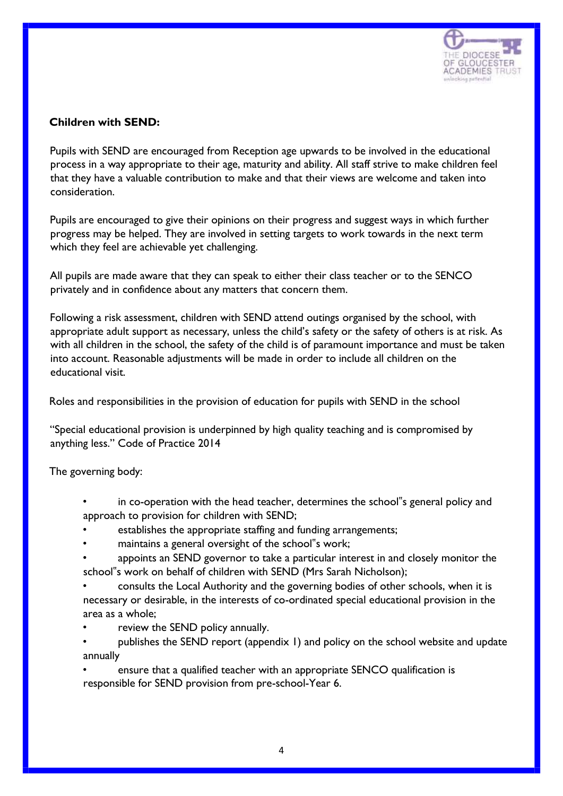

#### **Children with SEND:**

Pupils with SEND are encouraged from Reception age upwards to be involved in the educational process in a way appropriate to their age, maturity and ability. All staff strive to make children feel that they have a valuable contribution to make and that their views are welcome and taken into consideration.

Pupils are encouraged to give their opinions on their progress and suggest ways in which further progress may be helped. They are involved in setting targets to work towards in the next term which they feel are achievable yet challenging.

All pupils are made aware that they can speak to either their class teacher or to the SENCO privately and in confidence about any matters that concern them.

Following a risk assessment, children with SEND attend outings organised by the school, with appropriate adult support as necessary, unless the child's safety or the safety of others is at risk. As with all children in the school, the safety of the child is of paramount importance and must be taken into account. Reasonable adjustments will be made in order to include all children on the educational visit.

Roles and responsibilities in the provision of education for pupils with SEND in the school

"Special educational provision is underpinned by high quality teaching and is compromised by anything less." Code of Practice 2014

The governing body:

- in co-operation with the head teacher, determines the school"s general policy and approach to provision for children with SEND;
- establishes the appropriate staffing and funding arrangements;
- maintains a general oversight of the school"s work;
- appoints an SEND governor to take a particular interest in and closely monitor the school"s work on behalf of children with SEND (Mrs Sarah Nicholson);
- consults the Local Authority and the governing bodies of other schools, when it is necessary or desirable, in the interests of co-ordinated special educational provision in the area as a whole;
- review the SEND policy annually.
- publishes the SEND report (appendix 1) and policy on the school website and update annually

ensure that a qualified teacher with an appropriate SENCO qualification is responsible for SEND provision from pre-school-Year 6.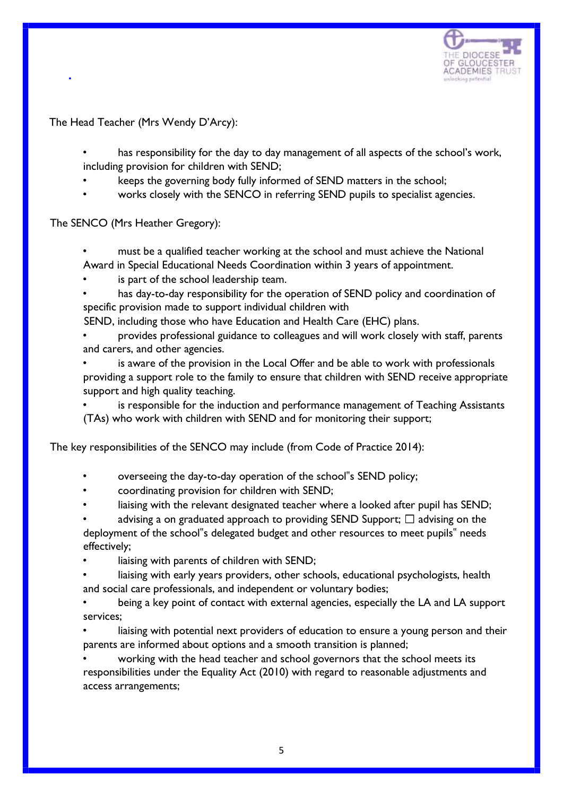

The Head Teacher (Mrs Wendy D'Arcy):

•

has responsibility for the day to day management of all aspects of the school's work, including provision for children with SEND;

- keeps the governing body fully informed of SEND matters in the school;
- works closely with the SENCO in referring SEND pupils to specialist agencies.

The SENCO (Mrs Heather Gregory):

- must be a qualified teacher working at the school and must achieve the National Award in Special Educational Needs Coordination within 3 years of appointment.
- is part of the school leadership team.
- has day-to-day responsibility for the operation of SEND policy and coordination of specific provision made to support individual children with

SEND, including those who have Education and Health Care (EHC) plans.

- provides professional guidance to colleagues and will work closely with staff, parents and carers, and other agencies.
- is aware of the provision in the Local Offer and be able to work with professionals providing a support role to the family to ensure that children with SEND receive appropriate support and high quality teaching.

is responsible for the induction and performance management of Teaching Assistants (TAs) who work with children with SEND and for monitoring their support;

The key responsibilities of the SENCO may include (from Code of Practice 2014):

- overseeing the day-to-day operation of the school"s SEND policy;
- coordinating provision for children with SEND;
- liaising with the relevant designated teacher where a looked after pupil has SEND;
- advising a on graduated approach to providing SEND Support;  $\Box$  advising on the deployment of the school"s delegated budget and other resources to meet pupils" needs effectively;
- liaising with parents of children with SEND;
- liaising with early years providers, other schools, educational psychologists, health and social care professionals, and independent or voluntary bodies;
- being a key point of contact with external agencies, especially the LA and LA support services;
- liaising with potential next providers of education to ensure a young person and their parents are informed about options and a smooth transition is planned;

• working with the head teacher and school governors that the school meets its responsibilities under the Equality Act (2010) with regard to reasonable adjustments and access arrangements;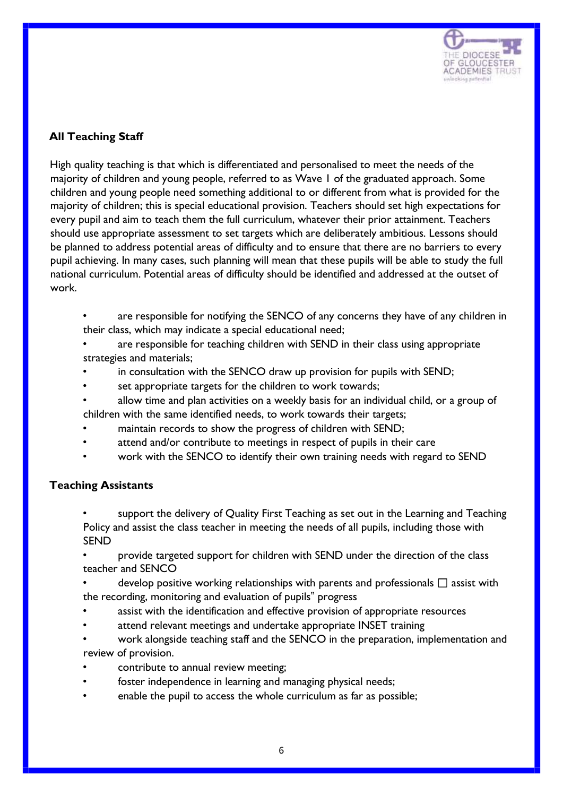

#### **All Teaching Staff**

High quality teaching is that which is differentiated and personalised to meet the needs of the majority of children and young people, referred to as Wave 1 of the graduated approach. Some children and young people need something additional to or different from what is provided for the majority of children; this is special educational provision. Teachers should set high expectations for every pupil and aim to teach them the full curriculum, whatever their prior attainment. Teachers should use appropriate assessment to set targets which are deliberately ambitious. Lessons should be planned to address potential areas of difficulty and to ensure that there are no barriers to every pupil achieving. In many cases, such planning will mean that these pupils will be able to study the full national curriculum. Potential areas of difficulty should be identified and addressed at the outset of work.

- are responsible for notifying the SENCO of any concerns they have of any children in their class, which may indicate a special educational need;
- are responsible for teaching children with SEND in their class using appropriate strategies and materials;
- in consultation with the SENCO draw up provision for pupils with SEND;
- set appropriate targets for the children to work towards;
- allow time and plan activities on a weekly basis for an individual child, or a group of children with the same identified needs, to work towards their targets;
- maintain records to show the progress of children with SEND;
- attend and/or contribute to meetings in respect of pupils in their care
- work with the SENCO to identify their own training needs with regard to SEND

#### **Teaching Assistants**

- support the delivery of Quality First Teaching as set out in the Learning and Teaching Policy and assist the class teacher in meeting the needs of all pupils, including those with SEND
- provide targeted support for children with SEND under the direction of the class teacher and SENCO
- develop positive working relationships with parents and professionals  $\square$  assist with the recording, monitoring and evaluation of pupils" progress
- assist with the identification and effective provision of appropriate resources
- attend relevant meetings and undertake appropriate INSET training
- work alongside teaching staff and the SENCO in the preparation, implementation and review of provision.
- contribute to annual review meeting;
- foster independence in learning and managing physical needs;
- enable the pupil to access the whole curriculum as far as possible;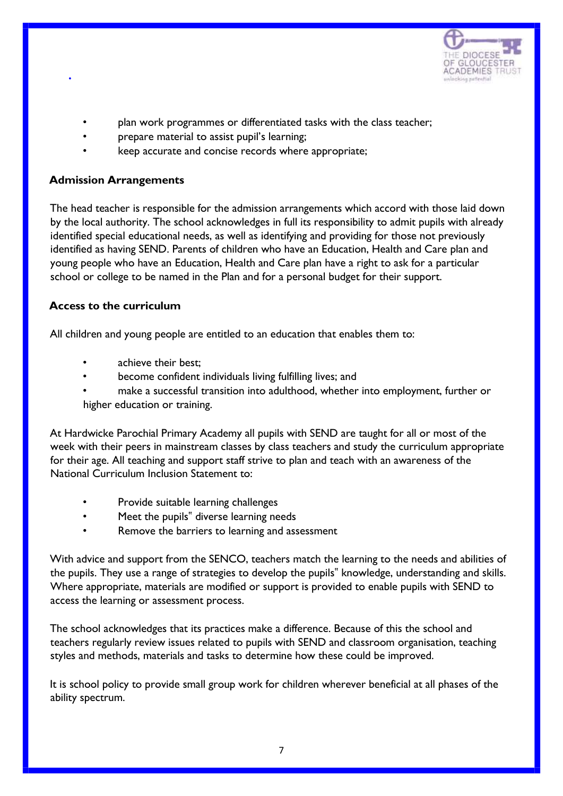

- plan work programmes or differentiated tasks with the class teacher;
- prepare material to assist pupil's learning;
- keep accurate and concise records where appropriate;

#### **Admission Arrangements**

•

The head teacher is responsible for the admission arrangements which accord with those laid down by the local authority. The school acknowledges in full its responsibility to admit pupils with already identified special educational needs, as well as identifying and providing for those not previously identified as having SEND. Parents of children who have an Education, Health and Care plan and young people who have an Education, Health and Care plan have a right to ask for a particular school or college to be named in the Plan and for a personal budget for their support.

#### **Access to the curriculum**

All children and young people are entitled to an education that enables them to:

- achieve their best:
- become confident individuals living fulfilling lives; and
- make a successful transition into adulthood, whether into employment, further or higher education or training.

At Hardwicke Parochial Primary Academy all pupils with SEND are taught for all or most of the week with their peers in mainstream classes by class teachers and study the curriculum appropriate for their age. All teaching and support staff strive to plan and teach with an awareness of the National Curriculum Inclusion Statement to:

- Provide suitable learning challenges
- Meet the pupils" diverse learning needs
- Remove the barriers to learning and assessment

With advice and support from the SENCO, teachers match the learning to the needs and abilities of the pupils. They use a range of strategies to develop the pupils" knowledge, understanding and skills. Where appropriate, materials are modified or support is provided to enable pupils with SEND to access the learning or assessment process.

The school acknowledges that its practices make a difference. Because of this the school and teachers regularly review issues related to pupils with SEND and classroom organisation, teaching styles and methods, materials and tasks to determine how these could be improved.

It is school policy to provide small group work for children wherever beneficial at all phases of the ability spectrum.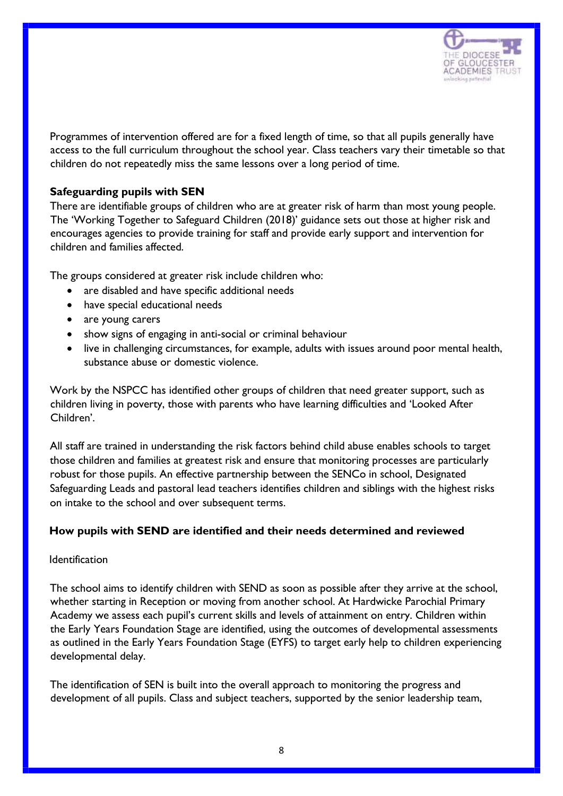

Programmes of intervention offered are for a fixed length of time, so that all pupils generally have access to the full curriculum throughout the school year. Class teachers vary their timetable so that children do not repeatedly miss the same lessons over a long period of time.

#### **Safeguarding pupils with SEN**

There are identifiable groups of children who are at greater risk of harm than most young people. The 'Working Together to Safeguard Children (2018)' guidance sets out those at higher risk and encourages agencies to provide training for staff and provide early support and intervention for children and families affected.

The groups considered at greater risk include children who:

- are disabled and have specific additional needs
- have special educational needs
- are young carers
- show signs of engaging in anti-social or criminal behaviour
- live in challenging circumstances, for example, adults with issues around poor mental health, substance abuse or domestic violence.

Work by the NSPCC has identified other groups of children that need greater support, such as children living in poverty, those with parents who have learning difficulties and 'Looked After Children'.

All staff are trained in understanding the risk factors behind child abuse enables schools to target those children and families at greatest risk and ensure that monitoring processes are particularly robust for those pupils. An effective partnership between the SENCo in school, Designated Safeguarding Leads and pastoral lead teachers identifies children and siblings with the highest risks on intake to the school and over subsequent terms.

#### **How pupils with SEND are identified and their needs determined and reviewed**

#### Identification

The school aims to identify children with SEND as soon as possible after they arrive at the school, whether starting in Reception or moving from another school. At Hardwicke Parochial Primary Academy we assess each pupil's current skills and levels of attainment on entry. Children within the Early Years Foundation Stage are identified, using the outcomes of developmental assessments as outlined in the Early Years Foundation Stage (EYFS) to target early help to children experiencing developmental delay.

The identification of SEN is built into the overall approach to monitoring the progress and development of all pupils. Class and subject teachers, supported by the senior leadership team,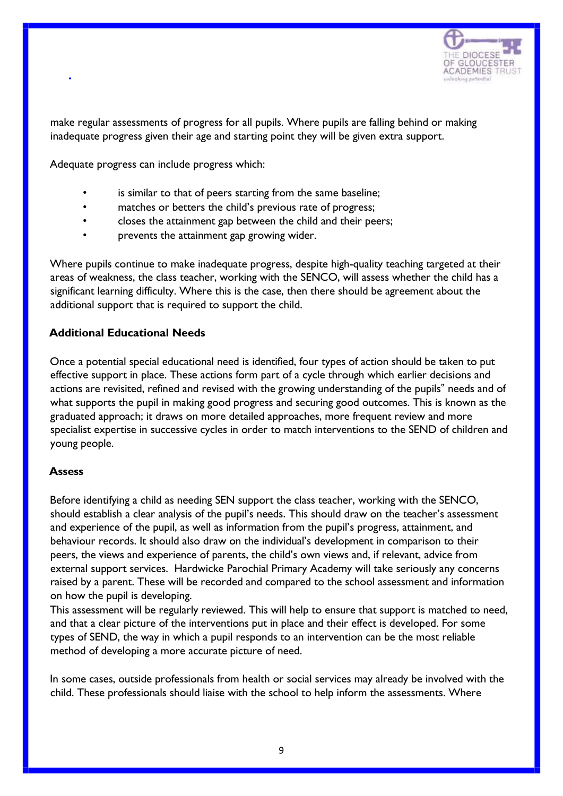

make regular assessments of progress for all pupils. Where pupils are falling behind or making inadequate progress given their age and starting point they will be given extra support.

Adequate progress can include progress which:

- is similar to that of peers starting from the same baseline;
- matches or betters the child's previous rate of progress;
- closes the attainment gap between the child and their peers;
- prevents the attainment gap growing wider.

Where pupils continue to make inadequate progress, despite high-quality teaching targeted at their areas of weakness, the class teacher, working with the SENCO, will assess whether the child has a significant learning difficulty. Where this is the case, then there should be agreement about the additional support that is required to support the child.

#### **Additional Educational Needs**

Once a potential special educational need is identified, four types of action should be taken to put effective support in place. These actions form part of a cycle through which earlier decisions and actions are revisited, refined and revised with the growing understanding of the pupils" needs and of what supports the pupil in making good progress and securing good outcomes. This is known as the graduated approach; it draws on more detailed approaches, more frequent review and more specialist expertise in successive cycles in order to match interventions to the SEND of children and young people.

#### **Assess**

•

Before identifying a child as needing SEN support the class teacher, working with the SENCO, should establish a clear analysis of the pupil's needs. This should draw on the teacher's assessment and experience of the pupil, as well as information from the pupil's progress, attainment, and behaviour records. It should also draw on the individual's development in comparison to their peers, the views and experience of parents, the child's own views and, if relevant, advice from external support services. Hardwicke Parochial Primary Academy will take seriously any concerns raised by a parent. These will be recorded and compared to the school assessment and information on how the pupil is developing.

This assessment will be regularly reviewed. This will help to ensure that support is matched to need, and that a clear picture of the interventions put in place and their effect is developed. For some types of SEND, the way in which a pupil responds to an intervention can be the most reliable method of developing a more accurate picture of need.

In some cases, outside professionals from health or social services may already be involved with the child. These professionals should liaise with the school to help inform the assessments. Where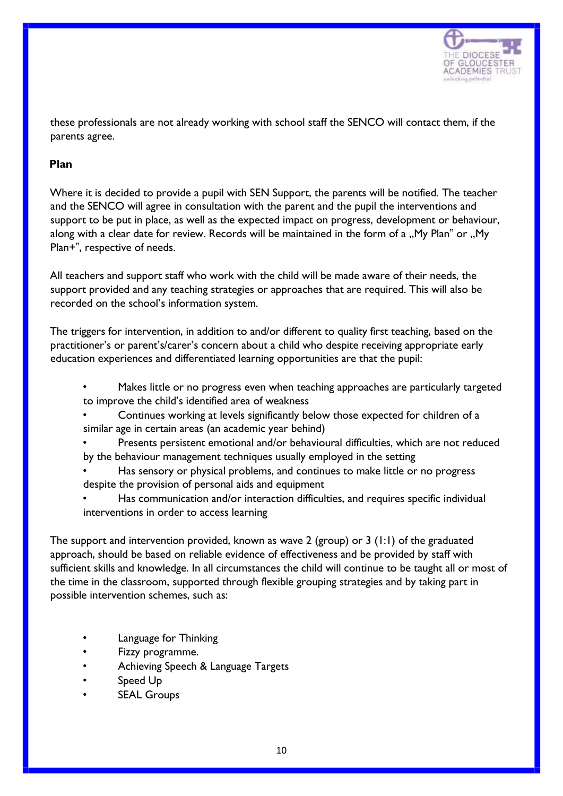

these professionals are not already working with school staff the SENCO will contact them, if the parents agree.

#### **Plan**

Where it is decided to provide a pupil with SEN Support, the parents will be notified. The teacher and the SENCO will agree in consultation with the parent and the pupil the interventions and support to be put in place, as well as the expected impact on progress, development or behaviour, along with a clear date for review. Records will be maintained in the form of a "My Plan" or "My Plan+", respective of needs.

All teachers and support staff who work with the child will be made aware of their needs, the support provided and any teaching strategies or approaches that are required. This will also be recorded on the school's information system.

The triggers for intervention, in addition to and/or different to quality first teaching, based on the practitioner's or parent's/carer's concern about a child who despite receiving appropriate early education experiences and differentiated learning opportunities are that the pupil:

- Makes little or no progress even when teaching approaches are particularly targeted to improve the child's identified area of weakness
- Continues working at levels significantly below those expected for children of a similar age in certain areas (an academic year behind)
- Presents persistent emotional and/or behavioural difficulties, which are not reduced by the behaviour management techniques usually employed in the setting
- Has sensory or physical problems, and continues to make little or no progress despite the provision of personal aids and equipment
- Has communication and/or interaction difficulties, and requires specific individual interventions in order to access learning

The support and intervention provided, known as wave 2 (group) or 3 (1:1) of the graduated approach, should be based on reliable evidence of effectiveness and be provided by staff with sufficient skills and knowledge. In all circumstances the child will continue to be taught all or most of the time in the classroom, supported through flexible grouping strategies and by taking part in possible intervention schemes, such as:

- Language for Thinking
- Fizzy programme.
- Achieving Speech & Language Targets
- Speed Up
- **SEAL Groups**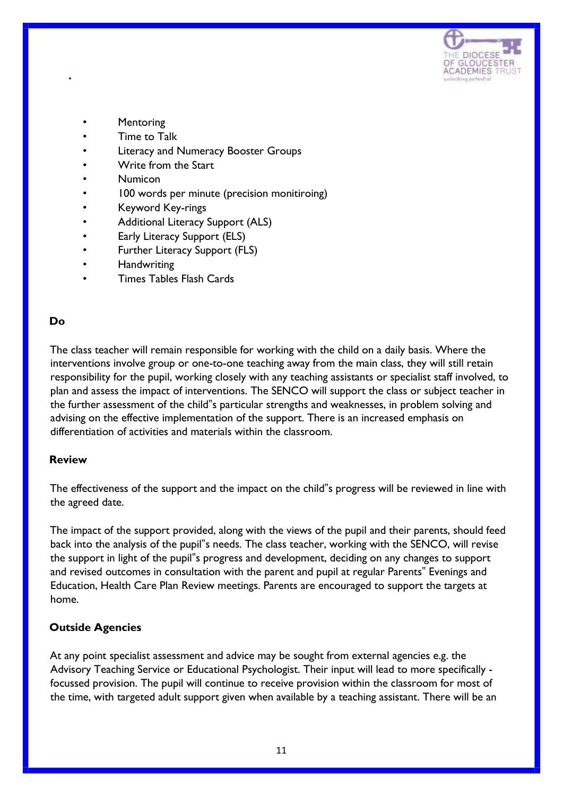

- **Mentoring**
- Time to Talk
- Literacy and Numeracy Booster Groups
- Write from the Start
- Numicon
- 100 words per minute (precision monitiroing)
- Keyword Key-rings
- Additional Literacy Support (ALS)
- Early Literacy Support (ELS)
- Further Literacy Support (FLS)
- **Handwriting**
- Times Tables Flash Cards

#### **Do**

•

The class teacher will remain responsible for working with the child on a daily basis. Where the interventions involve group or one-to-one teaching away from the main class, they will still retain responsibility for the pupil, working closely with any teaching assistants or specialist staff involved, to plan and assess the impact of interventions. The SENCO will support the class or subject teacher in the further assessment of the child"s particular strengths and weaknesses, in problem solving and advising on the effective implementation of the support. There is an increased emphasis on differentiation of activities and materials within the classroom.

#### **Review**

The effectiveness of the support and the impact on the child"s progress will be reviewed in line with the agreed date.

The impact of the support provided, along with the views of the pupil and their parents, should feed back into the analysis of the pupil"s needs. The class teacher, working with the SENCO, will revise the support in light of the pupil"s progress and development, deciding on any changes to support and revised outcomes in consultation with the parent and pupil at regular Parents" Evenings and Education, Health Care Plan Review meetings. Parents are encouraged to support the targets at home.

#### **Outside Agencies**

At any point specialist assessment and advice may be sought from external agencies e.g. the Advisory Teaching Service or Educational Psychologist. Their input will lead to more specifically focussed provision. The pupil will continue to receive provision within the classroom for most of the time, with targeted adult support given when available by a teaching assistant. There will be an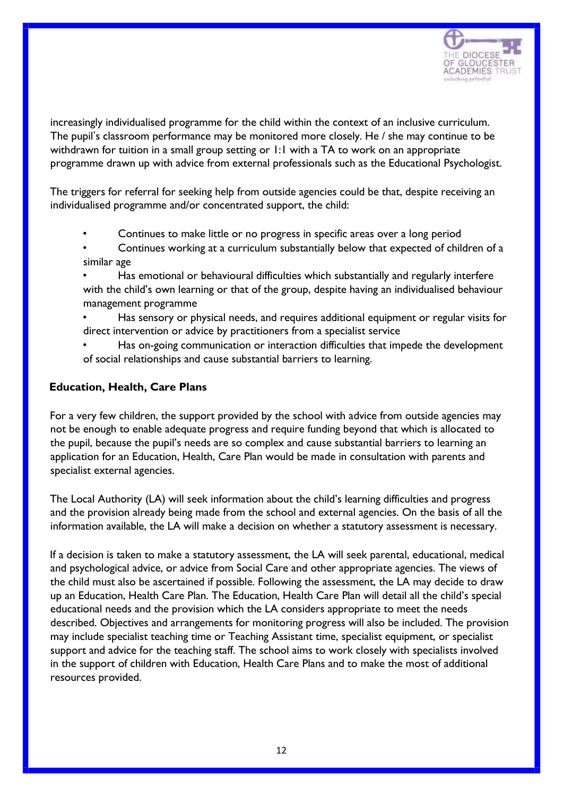

increasingly individualised programme for the child within the context of an inclusive curriculum. The pupil's classroom performance may be monitored more closely. He / she may continue to be withdrawn for tuition in a small group setting or 1:1 with a TA to work on an appropriate programme drawn up with advice from external professionals such as the Educational Psychologist.

The triggers for referral for seeking help from outside agencies could be that, despite receiving an individualised programme and/or concentrated support, the child:

- Continues to make little or no progress in specific areas over a long period
- Continues working at a curriculum substantially below that expected of children of a similar age
- Has emotional or behavioural difficulties which substantially and regularly interfere with the child's own learning or that of the group, despite having an individualised behaviour management programme
- Has sensory or physical needs, and requires additional equipment or regular visits for direct intervention or advice by practitioners from a specialist service
- Has on-going communication or interaction difficulties that impede the development of social relationships and cause substantial barriers to learning.

#### **Education, Health, Care Plans**

For a very few children, the support provided by the school with advice from outside agencies may not be enough to enable adequate progress and require funding beyond that which is allocated to the pupil, because the pupil's needs are so complex and cause substantial barriers to learning an application for an Education, Health, Care Plan would be made in consultation with parents and specialist external agencies.

The Local Authority (LA) will seek information about the child's learning difficulties and progress and the provision already being made from the school and external agencies. On the basis of all the information available, the LA will make a decision on whether a statutory assessment is necessary.

If a decision is taken to make a statutory assessment, the LA will seek parental, educational, medical and psychological advice, or advice from Social Care and other appropriate agencies. The views of the child must also be ascertained if possible. Following the assessment, the LA may decide to draw up an Education, Health Care Plan. The Education, Health Care Plan will detail all the child's special educational needs and the provision which the LA considers appropriate to meet the needs described. Objectives and arrangements for monitoring progress will also be included. The provision may include specialist teaching time or Teaching Assistant time, specialist equipment, or specialist support and advice for the teaching staff. The school aims to work closely with specialists involved in the support of children with Education, Health Care Plans and to make the most of additional resources provided.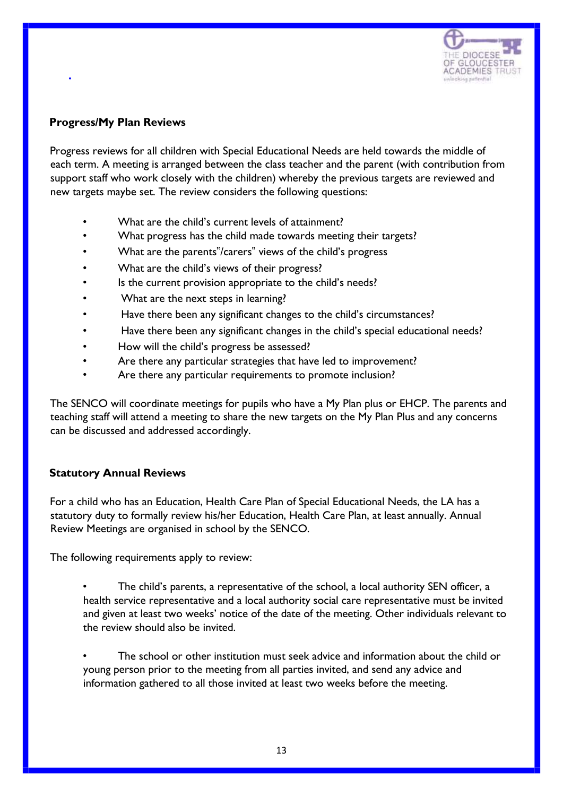

#### **Progress/My Plan Reviews**

•

Progress reviews for all children with Special Educational Needs are held towards the middle of each term. A meeting is arranged between the class teacher and the parent (with contribution from support staff who work closely with the children) whereby the previous targets are reviewed and new targets maybe set. The review considers the following questions:

- What are the child's current levels of attainment?
- What progress has the child made towards meeting their targets?
- What are the parents"/carers" views of the child's progress
- What are the child's views of their progress?
- Is the current provision appropriate to the child's needs?
- What are the next steps in learning?
- Have there been any significant changes to the child's circumstances?
- Have there been any significant changes in the child's special educational needs?
- How will the child's progress be assessed?
- Are there any particular strategies that have led to improvement?
- Are there any particular requirements to promote inclusion?

The SENCO will coordinate meetings for pupils who have a My Plan plus or EHCP. The parents and teaching staff will attend a meeting to share the new targets on the My Plan Plus and any concerns can be discussed and addressed accordingly.

#### **Statutory Annual Reviews**

For a child who has an Education, Health Care Plan of Special Educational Needs, the LA has a statutory duty to formally review his/her Education, Health Care Plan, at least annually. Annual Review Meetings are organised in school by the SENCO.

The following requirements apply to review:

- The child's parents, a representative of the school, a local authority SEN officer, a health service representative and a local authority social care representative must be invited and given at least two weeks' notice of the date of the meeting. Other individuals relevant to the review should also be invited.
- The school or other institution must seek advice and information about the child or young person prior to the meeting from all parties invited, and send any advice and information gathered to all those invited at least two weeks before the meeting.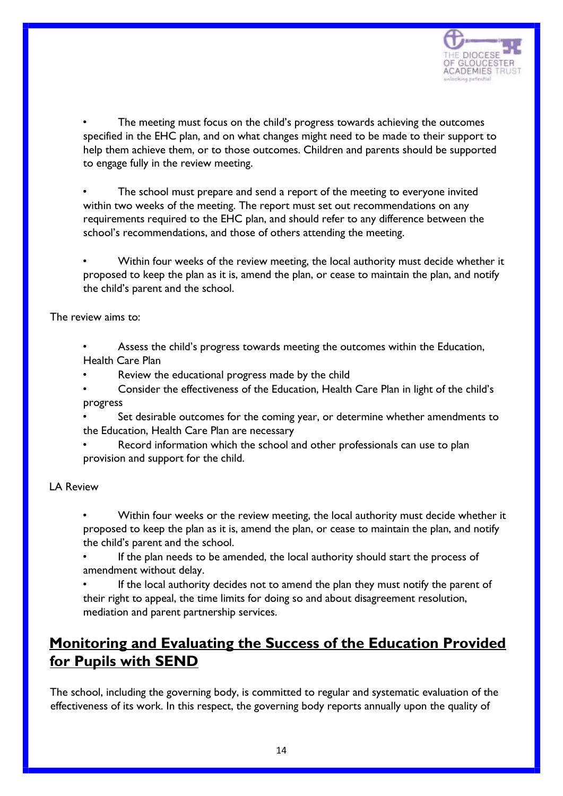

The meeting must focus on the child's progress towards achieving the outcomes specified in the EHC plan, and on what changes might need to be made to their support to help them achieve them, or to those outcomes. Children and parents should be supported to engage fully in the review meeting.

The school must prepare and send a report of the meeting to everyone invited within two weeks of the meeting. The report must set out recommendations on any requirements required to the EHC plan, and should refer to any difference between the school's recommendations, and those of others attending the meeting.

• Within four weeks of the review meeting, the local authority must decide whether it proposed to keep the plan as it is, amend the plan, or cease to maintain the plan, and notify the child's parent and the school.

The review aims to:

• Assess the child's progress towards meeting the outcomes within the Education, Health Care Plan

Review the educational progress made by the child

• Consider the effectiveness of the Education, Health Care Plan in light of the child's progress

Set desirable outcomes for the coming year, or determine whether amendments to the Education, Health Care Plan are necessary

Record information which the school and other professionals can use to plan provision and support for the child.

LA Review

• Within four weeks or the review meeting, the local authority must decide whether it proposed to keep the plan as it is, amend the plan, or cease to maintain the plan, and notify the child's parent and the school.

If the plan needs to be amended, the local authority should start the process of amendment without delay.

If the local authority decides not to amend the plan they must notify the parent of their right to appeal, the time limits for doing so and about disagreement resolution, mediation and parent partnership services.

# **Monitoring and Evaluating the Success of the Education Provided for Pupils with SEND**

The school, including the governing body, is committed to regular and systematic evaluation of the effectiveness of its work. In this respect, the governing body reports annually upon the quality of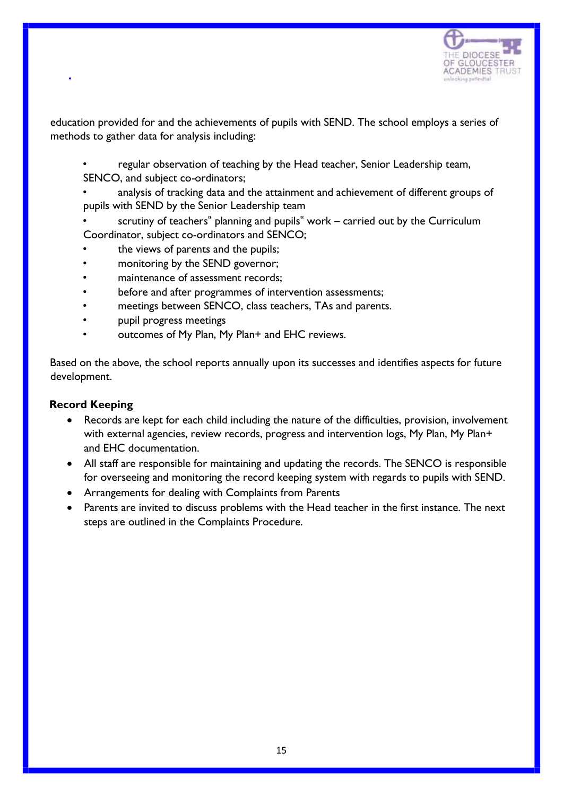

education provided for and the achievements of pupils with SEND. The school employs a series of methods to gather data for analysis including:

- regular observation of teaching by the Head teacher, Senior Leadership team, SENCO, and subject co-ordinators;
- analysis of tracking data and the attainment and achievement of different groups of pupils with SEND by the Senior Leadership team
- scrutiny of teachers" planning and pupils" work carried out by the Curriculum Coordinator, subject co-ordinators and SENCO;
- the views of parents and the pupils;
- monitoring by the SEND governor;
- maintenance of assessment records:
- before and after programmes of intervention assessments;
- meetings between SENCO, class teachers, TAs and parents.
- pupil progress meetings
- outcomes of My Plan, My Plan+ and EHC reviews.

Based on the above, the school reports annually upon its successes and identifies aspects for future development.

#### **Record Keeping**

•

- Records are kept for each child including the nature of the difficulties, provision, involvement with external agencies, review records, progress and intervention logs, My Plan, My Plan+ and EHC documentation.
- All staff are responsible for maintaining and updating the records. The SENCO is responsible for overseeing and monitoring the record keeping system with regards to pupils with SEND.
- Arrangements for dealing with Complaints from Parents
- Parents are invited to discuss problems with the Head teacher in the first instance. The next steps are outlined in the Complaints Procedure.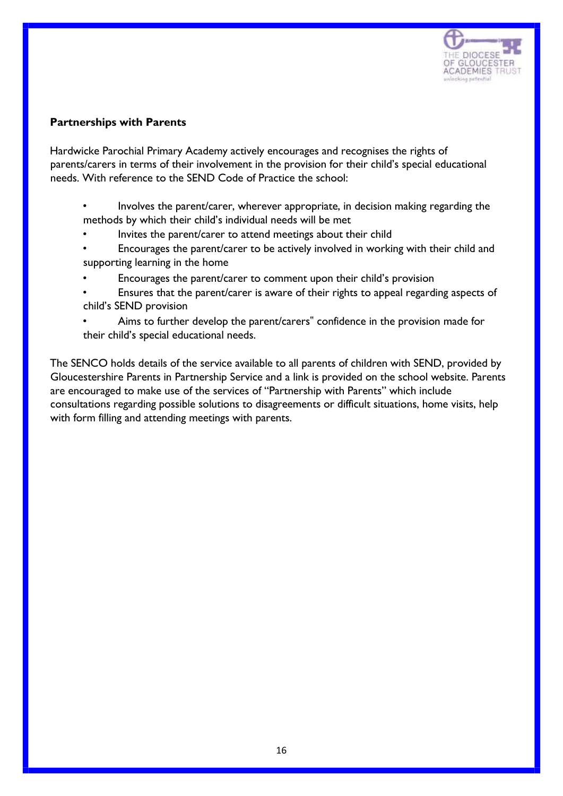

#### **Partnerships with Parents**

Hardwicke Parochial Primary Academy actively encourages and recognises the rights of parents/carers in terms of their involvement in the provision for their child's special educational needs. With reference to the SEND Code of Practice the school:

- Involves the parent/carer, wherever appropriate, in decision making regarding the methods by which their child's individual needs will be met
- Invites the parent/carer to attend meetings about their child
- Encourages the parent/carer to be actively involved in working with their child and supporting learning in the home
- Encourages the parent/carer to comment upon their child's provision
- Ensures that the parent/carer is aware of their rights to appeal regarding aspects of child's SEND provision
- Aims to further develop the parent/carers" confidence in the provision made for their child's special educational needs.

The SENCO holds details of the service available to all parents of children with SEND, provided by Gloucestershire Parents in Partnership Service and a link is provided on the school website. Parents are encouraged to make use of the services of "Partnership with Parents" which include consultations regarding possible solutions to disagreements or difficult situations, home visits, help with form filling and attending meetings with parents.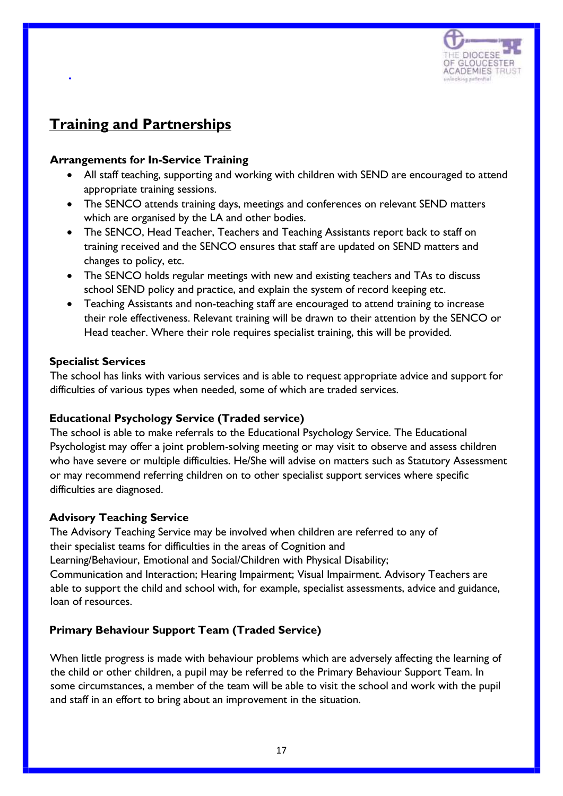

### **Training and Partnerships**

•

#### **Arrangements for In-Service Training**

- All staff teaching, supporting and working with children with SEND are encouraged to attend appropriate training sessions.
- The SENCO attends training days, meetings and conferences on relevant SEND matters which are organised by the LA and other bodies.
- The SENCO, Head Teacher, Teachers and Teaching Assistants report back to staff on training received and the SENCO ensures that staff are updated on SEND matters and changes to policy, etc.
- The SENCO holds regular meetings with new and existing teachers and TAs to discuss school SEND policy and practice, and explain the system of record keeping etc.
- Teaching Assistants and non-teaching staff are encouraged to attend training to increase their role effectiveness. Relevant training will be drawn to their attention by the SENCO or Head teacher. Where their role requires specialist training, this will be provided.

#### **Specialist Services**

The school has links with various services and is able to request appropriate advice and support for difficulties of various types when needed, some of which are traded services.

#### **Educational Psychology Service (Traded service)**

The school is able to make referrals to the Educational Psychology Service. The Educational Psychologist may offer a joint problem-solving meeting or may visit to observe and assess children who have severe or multiple difficulties. He/She will advise on matters such as Statutory Assessment or may recommend referring children on to other specialist support services where specific difficulties are diagnosed.

#### **Advisory Teaching Service**

The Advisory Teaching Service may be involved when children are referred to any of their specialist teams for difficulties in the areas of Cognition and Learning/Behaviour, Emotional and Social/Children with Physical Disability; Communication and Interaction; Hearing Impairment; Visual Impairment. Advisory Teachers are able to support the child and school with, for example, specialist assessments, advice and guidance, loan of resources.

#### **Primary Behaviour Support Team (Traded Service)**

When little progress is made with behaviour problems which are adversely affecting the learning of the child or other children, a pupil may be referred to the Primary Behaviour Support Team. In some circumstances, a member of the team will be able to visit the school and work with the pupil and staff in an effort to bring about an improvement in the situation.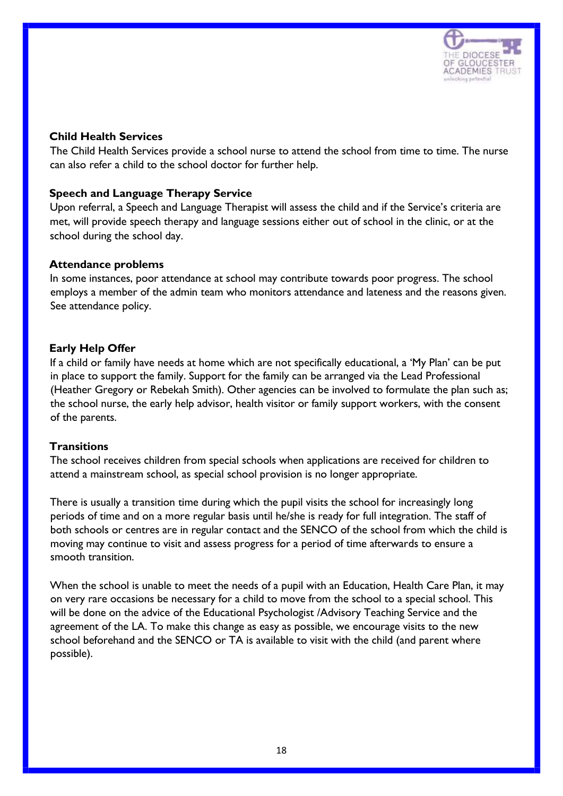

#### **Child Health Services**

The Child Health Services provide a school nurse to attend the school from time to time. The nurse can also refer a child to the school doctor for further help.

#### **Speech and Language Therapy Service**

Upon referral, a Speech and Language Therapist will assess the child and if the Service's criteria are met, will provide speech therapy and language sessions either out of school in the clinic, or at the school during the school day.

#### **Attendance problems**

In some instances, poor attendance at school may contribute towards poor progress. The school employs a member of the admin team who monitors attendance and lateness and the reasons given. See attendance policy.

#### **Early Help Offer**

If a child or family have needs at home which are not specifically educational, a 'My Plan' can be put in place to support the family. Support for the family can be arranged via the Lead Professional (Heather Gregory or Rebekah Smith). Other agencies can be involved to formulate the plan such as; the school nurse, the early help advisor, health visitor or family support workers, with the consent of the parents.

#### **Transitions**

The school receives children from special schools when applications are received for children to attend a mainstream school, as special school provision is no longer appropriate.

There is usually a transition time during which the pupil visits the school for increasingly long periods of time and on a more regular basis until he/she is ready for full integration. The staff of both schools or centres are in regular contact and the SENCO of the school from which the child is moving may continue to visit and assess progress for a period of time afterwards to ensure a smooth transition.

When the school is unable to meet the needs of a pupil with an Education, Health Care Plan, it may on very rare occasions be necessary for a child to move from the school to a special school. This will be done on the advice of the Educational Psychologist /Advisory Teaching Service and the agreement of the LA. To make this change as easy as possible, we encourage visits to the new school beforehand and the SENCO or TA is available to visit with the child (and parent where possible).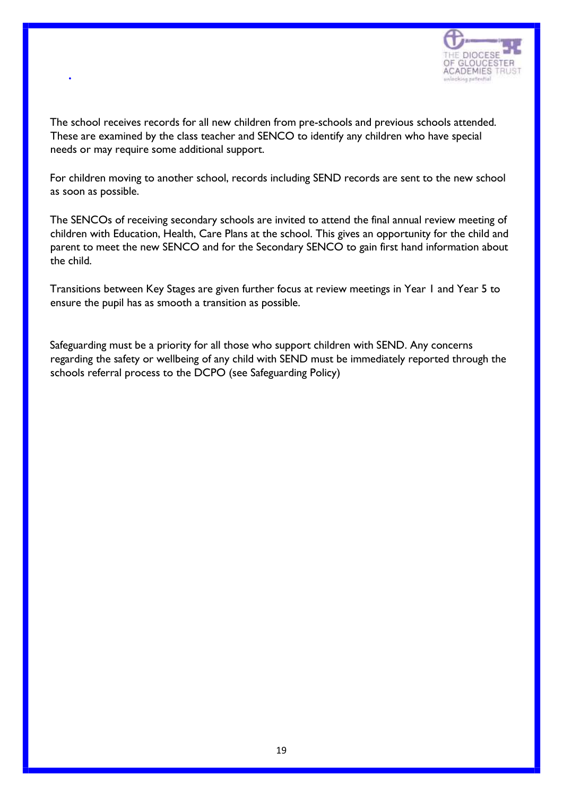

The school receives records for all new children from pre-schools and previous schools attended. These are examined by the class teacher and SENCO to identify any children who have special needs or may require some additional support.

•

For children moving to another school, records including SEND records are sent to the new school as soon as possible.

The SENCOs of receiving secondary schools are invited to attend the final annual review meeting of children with Education, Health, Care Plans at the school. This gives an opportunity for the child and parent to meet the new SENCO and for the Secondary SENCO to gain first hand information about the child.

Transitions between Key Stages are given further focus at review meetings in Year 1 and Year 5 to ensure the pupil has as smooth a transition as possible.

Safeguarding must be a priority for all those who support children with SEND. Any concerns regarding the safety or wellbeing of any child with SEND must be immediately reported through the schools referral process to the DCPO (see Safeguarding Policy)